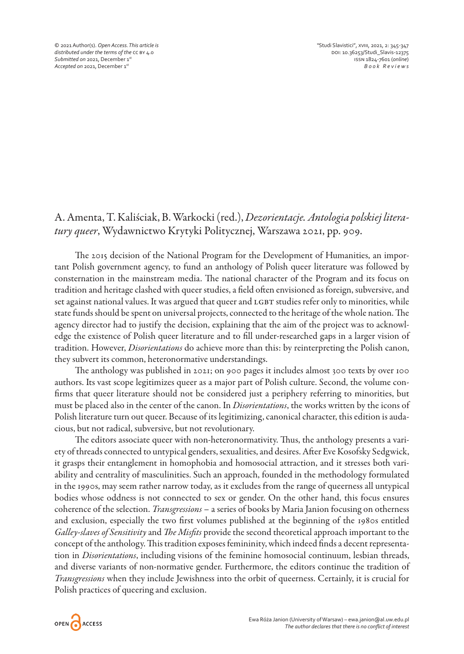© 2021 Author(s). *Open Access. This article is "*Studi Slavistici", xviii, 2021, 2: 345-347 distributed under the terms of the cc BY 4.0<br> **distributed on 2021, December 1<sup>51</sup> doi:** 10.36253/Studi\_Slavis-12375<br>
Submitted on 2021, December 1<sup>51</sup> **Submitted on 2021, December 1st issn 1824-7601 (online)**<br> **Accepted on 2021, December 1st** issn 1824-7601 (online)<br> **Book Reviews** *Accepted on* 2021, December 1st

## A. Amenta, T. Kaliściak, B. Warkocki (red.), *Dezorientacje. Antologia polskiej literatury queer*, Wydawnictwo Krytyki Politycznej, Warszawa 2021, pp. 909.

The 2015 decision of the National Program for the Development of Humanities, an important Polish government agency, to fund an anthology of Polish queer literature was followed by consternation in the mainstream media. The national character of the Program and its focus on tradition and heritage clashed with queer studies, a field often envisioned as foreign, subversive, and set against national values. It was argued that queer and LGBT studies refer only to minorities, while state funds should be spent on universal projects, connected to the heritage of the whole nation. The agency director had to justify the decision, explaining that the aim of the project was to acknowledge the existence of Polish queer literature and to fill under-researched gaps in a larger vision of tradition. However, *Disorientations* do achieve more than this: by reinterpreting the Polish canon, they subvert its common, heteronormative understandings.

The anthology was published in 2021; on 900 pages it includes almost 300 texts by over 100 authors. Its vast scope legitimizes queer as a major part of Polish culture. Second, the volume confirms that queer literature should not be considered just a periphery referring to minorities, but must be placed also in the center of the canon. In *Disorientations*, the works written by the icons of Polish literature turn out queer. Because of its legitimizing, canonical character, this edition is audacious, but not radical, subversive, but not revolutionary.

The editors associate queer with non-heteronormativity. Thus, the anthology presents a variety of threads connected to untypical genders, sexualities, and desires. After Eve Kosofsky Sedgwick, it grasps their entanglement in homophobia and homosocial attraction, and it stresses both variability and centrality of masculinities. Such an approach, founded in the methodology formulated in the 1990s, may seem rather narrow today, as it excludes from the range of queerness all untypical bodies whose oddness is not connected to sex or gender. On the other hand, this focus ensures coherence of the selection. *Transgressions* – a series of books by Maria Janion focusing on otherness and exclusion, especially the two first volumes published at the beginning of the 1980s entitled *Galley-slaves of Sensitivity* and *The Misfits* provide the second theoretical approach important to the concept of the anthology. This tradition exposes femininity, which indeed finds a decent representation in *Disorientations*, including visions of the feminine homosocial continuum, lesbian threads, and diverse variants of non-normative gender. Furthermore, the editors continue the tradition of *Transgressions* when they include Jewishness into the orbit of queerness. Certainly, it is crucial for Polish practices of queering and exclusion.

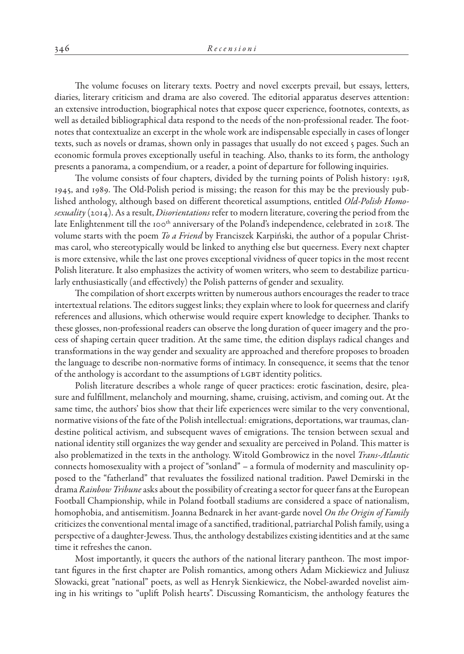The volume focuses on literary texts. Poetry and novel excerpts prevail, but essays, letters, diaries, literary criticism and drama are also covered. The editorial apparatus deserves attention: an extensive introduction, biographical notes that expose queer experience, footnotes, contexts, as well as detailed bibliographical data respond to the needs of the non-professional reader. The footnotes that contextualize an excerpt in the whole work are indispensable especially in cases of longer texts, such as novels or dramas, shown only in passages that usually do not exceed 5 pages. Such an economic formula proves exceptionally useful in teaching. Also, thanks to its form, the anthology presents a panorama, a compendium, or a reader, a point of departure for following inquiries.

The volume consists of four chapters, divided by the turning points of Polish history: 1918, 1945, and 1989. The Old-Polish period is missing; the reason for this may be the previously published anthology, although based on different theoretical assumptions, entitled *Old-Polish Homosexuality* (2014). As a result, *Disorientations* refer to modern literature, covering the period from the late Enlightenment till the 100th anniversary of the Poland's independence, celebrated in 2018. The volume starts with the poem *To a Friend* by Franciszek Karpiński, the author of a popular Christmas carol, who stereotypically would be linked to anything else but queerness. Every next chapter is more extensive, while the last one proves exceptional vividness of queer topics in the most recent Polish literature. It also emphasizes the activity of women writers, who seem to destabilize particularly enthusiastically (and effectively) the Polish patterns of gender and sexuality.

The compilation of short excerpts written by numerous authors encourages the reader to trace intertextual relations. The editors suggest links; they explain where to look for queerness and clarify references and allusions, which otherwise would require expert knowledge to decipher. Thanks to these glosses, non-professional readers can observe the long duration of queer imagery and the process of shaping certain queer tradition. At the same time, the edition displays radical changes and transformations in the way gender and sexuality are approached and therefore proposes to broaden the language to describe non-normative forms of intimacy. In consequence, it seems that the tenor of the anthology is accordant to the assumptions of LGBT identity politics.

Polish literature describes a whole range of queer practices: erotic fascination, desire, pleasure and fulfillment, melancholy and mourning, shame, cruising, activism, and coming out. At the same time, the authors' bios show that their life experiences were similar to the very conventional, normative visions of the fate of the Polish intellectual: emigrations, deportations, war traumas, clandestine political activism, and subsequent waves of emigrations. The tension between sexual and national identity still organizes the way gender and sexuality are perceived in Poland. This matter is also problematized in the texts in the anthology. Witold Gombrowicz in the novel *Trans-Atlantic* connects homosexuality with a project of "sonland" – a formula of modernity and masculinity opposed to the "fatherland" that revaluates the fossilized national tradition. Paweł Demirski in the drama *Rainbow Tribune* asks about the possibility of creating a sector for queer fans at the European Football Championship, while in Poland football stadiums are considered a space of nationalism, homophobia, and antisemitism. Joanna Bednarek in her avant-garde novel *On the Origin of Family* criticizes the conventional mental image of a sanctified, traditional, patriarchal Polish family, using a perspective of a daughter-Jewess. Thus, the anthology destabilizes existing identities and at the same time it refreshes the canon.

Most importantly, it queers the authors of the national literary pantheon. The most important figures in the first chapter are Polish romantics, among others Adam Mickiewicz and Juliusz Słowacki, great "national" poets, as well as Henryk Sienkiewicz, the Nobel-awarded novelist aiming in his writings to "uplift Polish hearts". Discussing Romanticism, the anthology features the